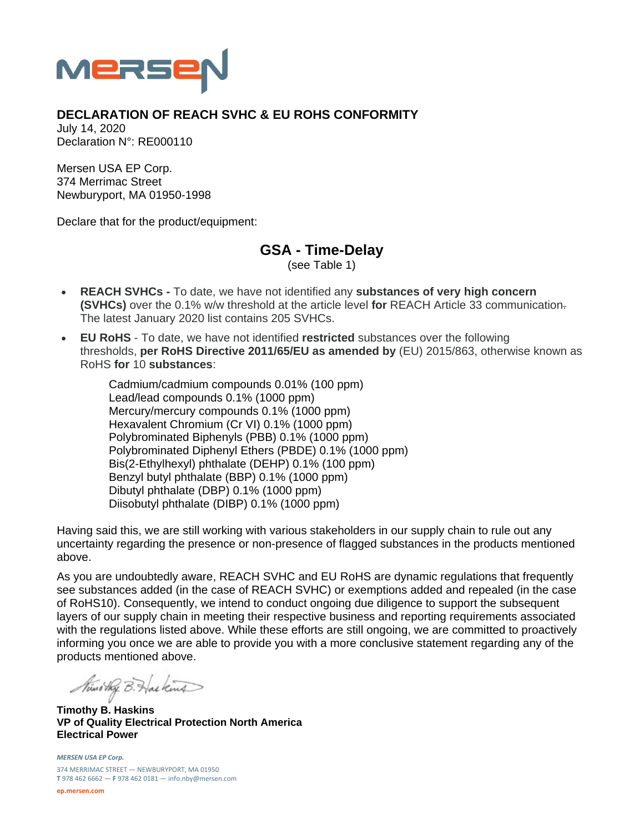

## **DECLARATION OF REACH SVHC & EU ROHS CONFORMITY**

July 14, 2020 Declaration N°: RE000110

Mersen USA EP Corp. 374 Merrimac Street Newburyport, MA 01950-1998

Declare that for the product/equipment:

**GSA - Time-Delay** 

(see Table 1)

- **REACH SVHCs** To date, we have not identified any **substances of very high concern (SVHCs)** over the 0.1% w/w threshold at the article level **for** REACH Article 33 communication. The latest January 2020 list contains 205 SVHCs.
- **EU RoHS** To date, we have not identified **restricted** substances over the following thresholds, **per RoHS Directive 2011/65/EU as amended by** (EU) 2015/863, otherwise known as RoHS **for** 10 **substances**:

Cadmium/cadmium compounds 0.01% (100 ppm) Lead/lead compounds 0.1% (1000 ppm) Mercury/mercury compounds 0.1% (1000 ppm) Hexavalent Chromium (Cr VI) 0.1% (1000 ppm) Polybrominated Biphenyls (PBB) 0.1% (1000 ppm) Polybrominated Diphenyl Ethers (PBDE) 0.1% (1000 ppm) Bis(2-Ethylhexyl) phthalate (DEHP) 0.1% (100 ppm) Benzyl butyl phthalate (BBP) 0.1% (1000 ppm) Dibutyl phthalate (DBP) 0.1% (1000 ppm) Diisobutyl phthalate (DIBP) 0.1% (1000 ppm)

Having said this, we are still working with various stakeholders in our supply chain to rule out any uncertainty regarding the presence or non-presence of flagged substances in the products mentioned above.

As you are undoubtedly aware, REACH SVHC and EU RoHS are dynamic regulations that frequently see substances added (in the case of REACH SVHC) or exemptions added and repealed (in the case of RoHS10). Consequently, we intend to conduct ongoing due diligence to support the subsequent layers of our supply chain in meeting their respective business and reporting requirements associated with the regulations listed above. While these efforts are still ongoing, we are committed to proactively informing you once we are able to provide you with a more conclusive statement regarding any of the products mentioned above.

Nuno they B. Has kind

**Timothy B. Haskins VP of Quality Electrical Protection North America Electrical Power** 

*MERSEN USA EP Corp.* 374 MERRIMAC STREET — NEWBURYPORT, MA 01950 **T** 978 462 6662 — **F** 978 462 0181 — info.nby@mersen.com

**ep.mersen.com**